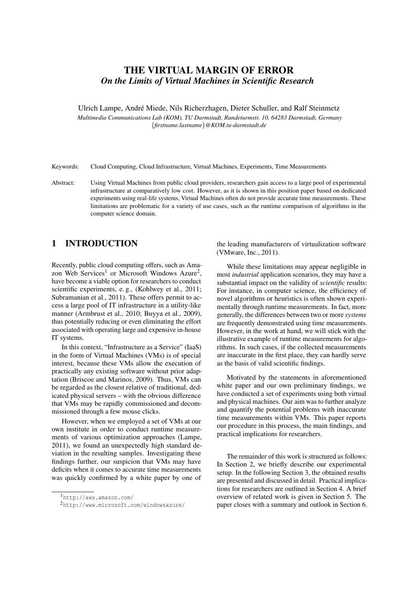# THE VIRTUAL MARGIN OF ERROR *On the Limits of Virtual Machines in Scientific Research*

Ulrich Lampe, Andre Miede, Nils Richerzhagen, Dieter Schuller, and Ralf Steinmetz ´ *Multimedia Communications Lab (KOM), TU Darmstadt, Rundeturmstr. 10, 64283 Darmstadt, Germany* {*firstname.lastname*}*@KOM.tu-darmstadt.de*

Keywords: Cloud Computing, Cloud Infrastructure, Virtual Machines, Experiments, Time Measurements

Abstract: Using Virtual Machines from public cloud providers, researchers gain access to a large pool of experimental infrastructure at comparatively low cost. However, as it is shown in this position paper based on dedicated experiments using real-life systems, Virtual Machines often do not provide accurate time measurements. These limitations are problematic for a variety of use cases, such as the runtime comparison of algorithms in the computer science domain.

## <span id="page-0-2"></span>1 INTRODUCTION

Recently, public cloud computing offers, such as Ama-zon Web Services<sup>[1](#page-0-0)</sup> or Microsoft Windows Azure<sup>[2](#page-0-1)</sup>, have become a viable option for researchers to conduct scientific experiments, e. g., [\(Kohlwey et al., 2011;](#page-5-0) [Subramanian et al., 2011\)](#page-5-1). These offers permit to access a large pool of IT infrastructure in a utility-like manner [\(Armbrust et al., 2010;](#page-5-2) [Buyya et al., 2009\)](#page-5-3), thus potentially reducing or even eliminating the effort associated with operating large and expensive in-house IT systems.

In this context, "Infrastructure as a Service" (IaaS) in the form of Virtual Machines (VMs) is of special interest, because these VMs allow the execution of practically any existing software without prior adaptation [\(Briscoe and Marinos, 2009\)](#page-5-4). Thus, VMs can be regarded as the closest relative of traditional, dedicated physical servers – with the obvious difference that VMs may be rapidly commissioned and decommissioned through a few mouse clicks.

However, when we employed a set of VMs at our own institute in order to conduct runtime measurements of various optimization approaches [\(Lampe,](#page-5-5) [2011\)](#page-5-5), we found an unexpectedly high standard deviation in the resulting samples. Investigating these findings further, our suspicion that VMs may have deficits when it comes to accurate time measurements was quickly confirmed by a white paper by one of the leading manufacturers of virtualization software [\(VMware, Inc., 2011\)](#page-5-6).

While these limitations may appear negligible in most *industrial* application scenarios, they may have a substantial impact on the validity of *scientific* results: For instance, in computer science, the efficiency of novel algorithms or heuristics is often shown experimentally through runtime measurements. In fact, more generally, the differences between two or more *systems* are frequently demonstrated using time measurements. However, in the work at hand, we will stick with the illustrative example of runtime measurements for algorithms. In such cases, if the collected measurements are inaccurate in the first place, they can hardly serve as the basis of valid scientific findings.

Motivated by the statements in aforementioned white paper and our own preliminary findings, we have conducted a set of experiments using both virtual and physical machines. Our aim was to further analyze and quantify the potential problems with inaccurate time measurements within VMs. This paper reports our procedure in this process, the main findings, and practical implications for researchers.

The remainder of this work is structured as follows: In Section [2,](#page-1-0) we briefly describe our experimental setup. In the following Section [3,](#page-2-0) the obtained results are presented and discussed in detail. Practical implications for researchers are outlined in Section [4.](#page-3-0) A brief overview of related work is given in Section [5.](#page-4-0) The paper closes with a summary and outlook in Section [6.](#page-5-7)

<span id="page-0-0"></span><sup>1</sup><http://aws.amazon.com/>

<span id="page-0-1"></span><sup>2</sup><http://www.microsoft.com/windowsazure/>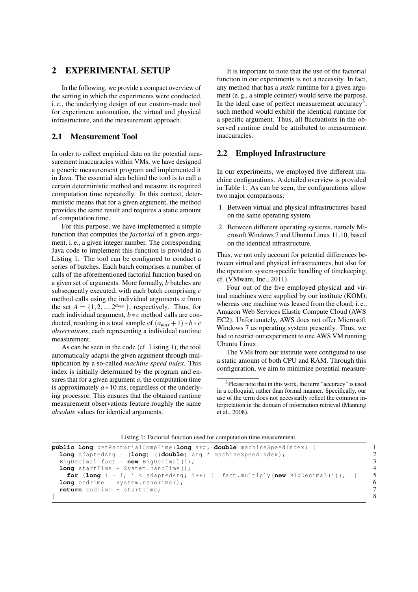### <span id="page-1-0"></span>2 EXPERIMENTAL SETUP

In the following, we provide a compact overview of the setting in which the experiments were conducted, i. e., the underlying design of our custom-made tool for experiment automation, the virtual and physical infrastructure, and the measurement approach.

#### 2.1 Measurement Tool

In order to collect empirical data on the potential measurement inaccuracies within VMs, we have designed a generic measurement program and implemented it in Java. The essential idea behind the tool is to call a certain deterministic method and measure its required computation time repeatedly. In this context, deterministic means that for a given argument, the method provides the same result and requires a static amount of computation time.

For this purpose, we have implemented a simple function that computes the *factorial* of a given argument, i. e., a given integer number. The corresponding Java code to implement this function is provided in Listing [1.](#page-1-1) The tool can be configured to conduct a series of batches. Each batch comprises a number of calls of the aforementioned factorial function based on a given set of arguments. More formally, *b* batches are subsequently executed, with each batch comprising *c* method calls using the individual arguments *a* from the set  $A = \{1, 2, ..., 2^{a_{max}}\}$ , respectively. Thus, for each individual argument, *b* ∗ *c* method calls are conducted, resulting in a total sample of  $(a_{max} + 1) * b * c$ *observations*, each representing a individual runtime measurement.

As can be seen in the code (cf. Listing [1\)](#page-1-1), the tool automatically adapts the given argument through multiplication by a so-called *machine speed index*. This index is initially determined by the program and ensures that for a given argument *a*, the computation time is approximately *a* ∗ 10 ms, regardless of the underlying processor. This ensures that the obtained runtime measurement observations feature roughly the same *absolute* values for identical arguments.

It is important to note that the use of the factorial function in our experiments is not a necessity. In fact, any method that has a *static* runtime for a given argument (e. g., a simple counter) would serve the purpose. In the ideal case of perfect measurement accuracy<sup>[3](#page-1-2)</sup>, such method would exhibit the identical runtime for a specific argument. Thus, all fluctuations in the observed runtime could be attributed to measurement inaccuracies.

#### <span id="page-1-3"></span>2.2 Employed Infrastructure

In our experiments, we employed five different machine configurations. A detailed overview is provided in Table [1.](#page-2-1) As can be seen, the configurations allow two major comparisons:

- 1. Between virtual and physical infrastructures based on the same operating system.
- 2. Between different operating systems, namely Microsoft Windows 7 and Ubuntu Linux 11.10, based on the identical infrastructure.

Thus, we not only account for potential differences between virtual and physical infrastructures, but also for the operation system-specific handling of timekeeping, cf. [\(VMware, Inc., 2011\)](#page-5-6).

Four out of the five employed physical and virtual machines were supplied by our institute (KOM), whereas one machine was leased from the cloud, i. e., Amazon Web Services Elastic Compute Cloud (AWS EC2). Unfortunately, AWS does not offer Microsoft Windows 7 as operating system presently. Thus, we had to restrict our experiment to one AWS VM running Ubuntu Linux.

The VMs from our institute were configured to use a static amount of both CPU and RAM. Through this configuration, we aim to minimize potential measure-

<span id="page-1-2"></span><sup>&</sup>lt;sup>3</sup>Please note that in this work, the term "accuracy" is used in a colloquial, rather than formal manner. Specifically, our use of the term does not necessarily reflect the common interpretation in the domain of information retrieval [\(Manning](#page-5-8) [et al., 2008\)](#page-5-8).

|  |  |  |  |  |  |  |  |  |  | Listing 1: Factorial function used for computation time measurement. |
|--|--|--|--|--|--|--|--|--|--|----------------------------------------------------------------------|
|--|--|--|--|--|--|--|--|--|--|----------------------------------------------------------------------|

```
public long getFactorialCompTime (long arg, double machineSpeedIndex) { 1<br>
long adaptedArg = (long) ((double) arg * machineSpeedIndex);
  long adaptedArg = (long) ((double) arg * machineSpeedIndex ); 2
  BigDecimal fact = new BigDecimal (1); 3
 long startTime = System . nanoTime ();<br>
for (long i = 1; i < adaptedArg; i++) { fact . multiply (new BigDecimal(i)); } 5
   for (long i = 1; i < adaptedArg; i + +) { fact . multiply (new BigDecimal (i)); } 5<br>
ong endTime = System. nanoTime ();
 long endTime = System.nanoTime ();<br>
return endTime - startTime; 7
 return endTime - startTime; 7<br>8
} 8
```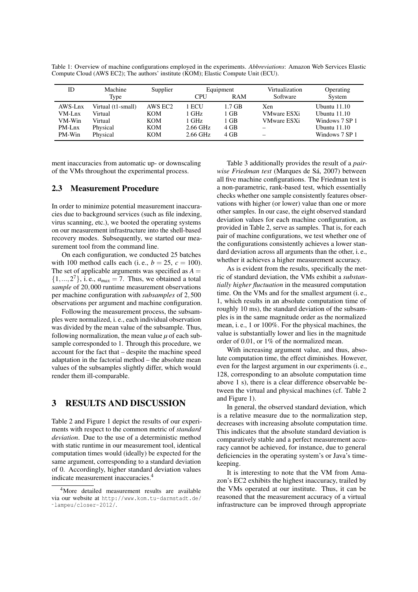<span id="page-2-1"></span>Table 1: Overview of machine configurations employed in the experiments. *Abbreviations*: Amazon Web Services Elastic Compute Cloud (AWS EC2); The authors' institute (KOM); Elastic Compute Unit (ECU).

| ID      | Machine            | Supplier   |            | Equipment | Virtualization     | Operating      |
|---------|--------------------|------------|------------|-----------|--------------------|----------------|
|         | Type               |            | <b>CPU</b> | RAM       | Software           | System         |
| AWS-Lnx | Virtual (t1-small) | AWS EC2    | 1 ECU      | 1.7 GB    | <b>Xen</b>         | Ubuntu 11.10   |
| VM-Lnx  | Virtual            | <b>KOM</b> | 1 GHz      | 1 GB      | <b>VMware ESXi</b> | Ubuntu $11.10$ |
| VM-Win  | Virtual            | KOM        | 1 GHz      | 1 GB      | <b>VMware ESXi</b> | Windows 7 SP 1 |
| PM-Lnx  | Physical           | KOM        | 2.66 GHz   | 4 GB      |                    | Ubuntu $11.10$ |
| PM-Win  | Physical           | KOM        | 2.66 GHz   | 4 GB      |                    | Windows 7 SP 1 |

ment inaccuracies from automatic up- or downscaling of the VMs throughout the experimental process.

#### 2.3 Measurement Procedure

In order to minimize potential measurement inaccuracies due to background services (such as file indexing, virus scanning, etc.), we booted the operating systems on our measurement infrastructure into the shell-based recovery modes. Subsequently, we started our measurement tool from the command line.

On each configuration, we conducted 25 batches with 100 method calls each (i.e.,  $b = 25$ ,  $c = 100$ ). The set of applicable arguments was specified as  $A =$  $\{1, \ldots, 2^7\}$ , i.e.,  $a_{max} = 7$ . Thus, we obtained a total *sample* of 20,000 runtime measurement observations per machine configuration with *subsamples* of 2,500 observations per argument and machine configuration.

Following the measurement process, the subsamples were normalized, i. e., each individual observation was divided by the mean value of the subsample. Thus, following normalization, the mean value  $\mu$  of each subsample corresponded to 1. Through this procedure, we account for the fact that – despite the machine speed adaptation in the factorial method – the absolute mean values of the subsamples slightly differ, which would render them ill-comparable.

#### <span id="page-2-0"></span>3 RESULTS AND DISCUSSION

Table [2](#page-3-1) and Figure [1](#page-3-2) depict the results of our experiments with respect to the common metric of *standard deviation*. Due to the use of a deterministic method with static runtime in our measurement tool, identical computation times would (ideally) be expected for the same argument, corresponding to a standard deviation of 0. Accordingly, higher standard deviation values indicate measurement inaccuracies.[4](#page-2-2)

Table [3](#page-3-3) additionally provides the result of a *pair*wise Friedman test (Marques de Sá, 2007) between all five machine configurations. The Friedman test is a non-parametric, rank-based test, which essentially checks whether one sample consistently features observations with higher (or lower) value than one or more other samples. In our case, the eight observed standard deviation values for each machine configuration, as provided in Table [2,](#page-3-1) serve as samples. That is, for each pair of machine configurations, we test whether one of the configurations consistently achieves a lower standard deviation across all arguments than the other, i. e., whether it achieves a higher measurement accuracy.

As is evident from the results, specifically the metric of standard deviation, the VMs exhibit a *substantially higher fluctuation* in the measured computation time. On the VMs and for the smallest argument (i. e., 1, which results in an absolute computation time of roughly 10 ms), the standard deviation of the subsamples is in the same magnitude order as the normalized mean, i. e., 1 or 100%. For the physical machines, the value is substantially lower and lies in the magnitude order of 0.01, or 1% of the normalized mean.

With increasing argument value, and thus, absolute computation time, the effect diminishes. However, even for the largest argument in our experiments (i. e., 128, corresponding to an absolute computation time above 1 s), there is a clear difference observable between the virtual and physical machines (cf. Table [2](#page-3-1) and Figure [1\)](#page-3-2).

In general, the observed standard deviation, which is a relative measure due to the normalization step, decreases with increasing absolute computation time. This indicates that the absolute standard deviation is comparatively stable and a perfect measurement accuracy cannot be achieved, for instance, due to general deficiencies in the operating system's or Java's timekeeping.

It is interesting to note that the VM from Amazon's EC2 exhibits the highest inaccuracy, trailed by the VMs operated at our institute. Thus, it can be reasoned that the measurement accuracy of a virtual infrastructure can be improved through appropriate

<span id="page-2-2"></span><sup>4</sup>More detailed measurement results are available via our website at [http://www.kom.tu-darmstadt.de/](http://www.kom.tu-darmstadt.de/~lampeu/closer-2012/) [˜lampeu/closer-2012/](http://www.kom.tu-darmstadt.de/~lampeu/closer-2012/).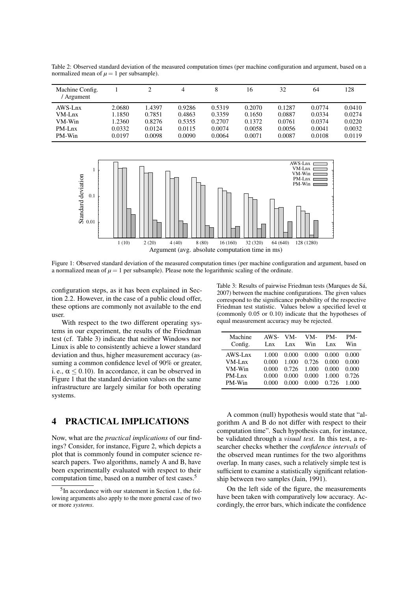<span id="page-3-1"></span>Table 2: Observed standard deviation of the measured computation times (per machine configuration and argument, based on a normalized mean of  $\mu = 1$  per subsample).

| Machine Config.<br>Argument |        |        | 4      | 8      | 16     | 32     | 64     | 128    |
|-----------------------------|--------|--------|--------|--------|--------|--------|--------|--------|
| AWS-Lnx                     | 2.0680 | 1.4397 | 0.9286 | 0.5319 | 0.2070 | 0.1287 | 0.0774 | 0.0410 |
| $VM-Lnx$                    | 1.1850 | 0.7851 | 0.4863 | 0.3359 | 0.1650 | 0.0887 | 0.0334 | 0.0274 |
| VM-Win                      | 1.2360 | 0.8276 | 0.5355 | 0.2707 | 0.1372 | 0.0761 | 0.0374 | 0.0220 |
| PM-Lnx                      | 0.0332 | 0.0124 | 0.0115 | 0.0074 | 0.0058 | 0.0056 | 0.0041 | 0.0032 |
| PM-Win                      | 0.0197 | 0.0098 | 0.0090 | 0.0064 | 0.0071 | 0.0087 | 0.0108 | 0.0119 |

<span id="page-3-2"></span>

Figure 1: Observed standard deviation of the measured computation times (per machine configuration and argument, based on a normalized mean of  $\mu = 1$  per subsample). Please note the logarithmic scaling of the ordinate.

configuration steps, as it has been explained in Section [2.2.](#page-1-3) However, in the case of a public cloud offer, these options are commonly not available to the end user.

With respect to the two different operating systems in our experiment, the results of the Friedman test (cf. Table [3\)](#page-3-3) indicate that neither Windows nor Linux is able to consistently achieve a lower standard deviation and thus, higher measurement accuracy (assuming a common confidence level of 90% or greater, i. e.,  $\alpha$  < 0.10). In accordance, it can be observed in Figure [1](#page-3-2) that the standard deviation values on the same infrastructure are largely similar for both operating systems.

## <span id="page-3-0"></span>4 PRACTICAL IMPLICATIONS

Now, what are the *practical implications* of our findings? Consider, for instance, Figure [2,](#page-4-1) which depicts a plot that is commonly found in computer science research papers. Two algorithms, namely A and B, have been experimentally evaluated with respect to their computation time, based on a number of test cases.[5](#page-3-4)

<span id="page-3-3"></span>Table 3: Results of pairwise Friedman tests (Marques de Sá, [2007\)](#page-5-9) between the machine configurations. The given values correspond to the significance probability of the respective Friedman test statistic. Values below a specified level  $\alpha$ (commonly 0.05 or 0.10) indicate that the hypotheses of equal measurement accuracy may be rejected.

| Machine<br>AWS-<br>VM-<br>PM-<br>VM-<br>PM-<br>Config.<br>Win<br>Win<br>Lnx<br>Lnx.<br>Lnx<br>0.000<br>AWS-Lnx<br>0.000<br>0.000<br>0.000<br>1.000<br>0.726<br>0.000<br>$VM-Lnx$<br>0.000<br>0.000<br>1.000<br>VM-Win<br>0.000<br>0.726<br>1.000<br>0.000<br>0.000<br>0.726<br>$PM-Lnx$<br>0.000<br>0.000<br>0.000<br>1.000<br>PM-Win<br>0.000<br>0.726<br>0.000<br>1.000<br>0.000 |  |  |  |
|------------------------------------------------------------------------------------------------------------------------------------------------------------------------------------------------------------------------------------------------------------------------------------------------------------------------------------------------------------------------------------|--|--|--|
|                                                                                                                                                                                                                                                                                                                                                                                    |  |  |  |
|                                                                                                                                                                                                                                                                                                                                                                                    |  |  |  |

A common (null) hypothesis would state that "algorithm A and B do not differ with respect to their computation time". Such hypothesis can, for instance, be validated through a *visual test*. In this test, a researcher checks whether the *confidence intervals* of the observed mean runtimes for the two algorithms overlap. In many cases, such a relatively simple test is sufficient to examine a statistically significant relationship between two samples [\(Jain, 1991\)](#page-5-10).

On the left side of the figure, the measurements have been taken with comparatively low accuracy. Accordingly, the error bars, which indicate the confidence

<span id="page-3-4"></span><sup>&</sup>lt;sup>5</sup>In accordance with our statement in Section [1,](#page-0-2) the following arguments also apply to the more general case of two or more *systems*.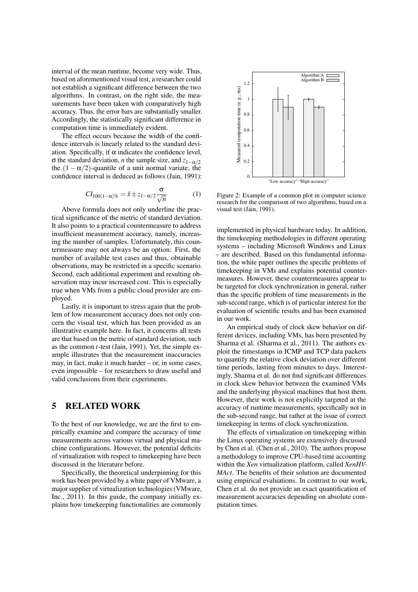interval of the mean runtime, become very wide. Thus, based on aforementioned visual test, a researcher could not establish a significant difference between the two algorithms. In contrast, on the right side, the measurements have been taken with comparatively high accuracy. Thus, the error bars are substantially smaller. Accordingly, the statistically significant difference in computation time is immediately evident.

The effect occurs because the width of the confidence intervals is linearly related to the standard deviation. Specifically, if  $\alpha$  indicates the confidence level,  $\sigma$  the standard deviation, *n* the sample size, and  $z_{1-\alpha/2}$ the  $(1 - \alpha/2)$ -quantile of a unit normal variate, the confidence interval is deduced as follows [\(Jain, 1991\)](#page-5-10):

$$
CI_{100(1-\alpha)\%} = \bar{x} \pm z_{1-\alpha/2} \frac{\sigma}{\sqrt{n}} \tag{1}
$$

Above formula does not only underline the practical significance of the metric of standard deviation. It also points to a practical countermeasure to address insufficient measurement accuracy, namely, increasing the number of samples. Unfortunately, this countermeasure may not always be an option: First, the number of available test cases and thus, obtainable observations, may be restricted in a specific scenario. Second, each additional experiment and resulting observation may incur increased cost. This is especially true when VMs from a public cloud provider are employed.

Lastly, it is important to stress again that the problem of low measurement accuracy does not only concern the visual test, which has been provided as an illustrative example here. In fact, it concerns all tests are that based on the metric of standard deviation, such as the common *t*-test [\(Jain, 1991\)](#page-5-10). Yet, the simple example illustrates that the measurement inaccuracies may, in fact, make it much harder – or, in some cases, even impossible – for researchers to draw useful and valid conclusions from their experiments.

## <span id="page-4-0"></span>5 RELATED WORK

To the best of our knowledge, we are the first to empirically examine and compare the accuracy of time measurements across various virtual and physical machine configurations. However, the potential deficits of virtualization with respect to timekeeping have been discussed in the literature before.

Specifically, the theoretical underpinning for this work has been provided by a white paper of VMware, a major supplier of virtualization technologies [\(VMware,](#page-5-6) [Inc., 2011\)](#page-5-6). In this guide, the company initially explains how timekeeping functionalities are commonly

<span id="page-4-1"></span>

Figure 2: Example of a common plot in computer science research for the comparison of two algorithms, based on a visual test [\(Jain, 1991\)](#page-5-10).

implemented in physical hardware today. In addition, the timekeeping methodologies in different operating systems – including Microsoft Windows and Linux – are described. Based on this fundamental information, the white paper outlines the specific problems of timekeeping in VMs and explains potential countermeasures. However, these countermeasures appear to be targeted for clock synchronization in general, rather than the specific problem of time measurements in the sub-second range, which is of particular interest for the evaluation of scientific results and has been examined in our work.

An empirical study of clock skew behavior on different devices, including VMs, has been presented by Sharma et al. [\(Sharma et al., 2011\)](#page-5-11). The authors exploit the timestamps in ICMP and TCP data packets to quantify the relative clock deviation over different time periods, lasting from minutes to days. Interestingly, Sharma et al. do not find significant differences in clock skew behavior between the examined VMs and the underlying physical machines that host them. However, their work is not explicitly targeted at the accuracy of runtime measurements, specifically not in the sub-second range, but rather at the issue of correct timekeeping in terms of clock synchronization.

The effects of virtualization on timekeeping within the Linux operating systems are extensively discussed by Chen et al. [\(Chen et al., 2010\)](#page-5-12). The authors propose a methodology to improve CPU-based time accounting within the *Xen* virtualization platform, called *XenHV-MAct*. The benefits of their solution are documented using empirical evaluations. In contrast to our work, Chen et al. do not provide an exact quantification of measurement accuracies depending on absolute computation times.